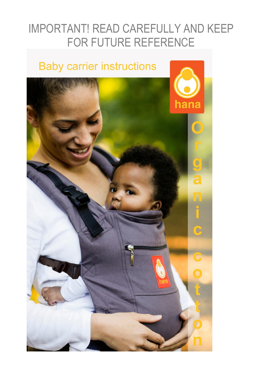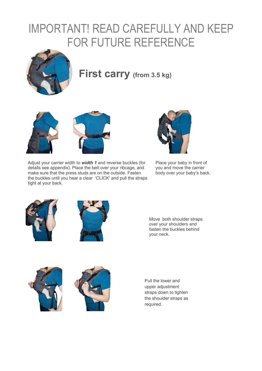

#### **First carry (from 3.5 kg)**





Adjust your carrier width to *width 1* and reverse buckles (for details see appendix). Place the belt over your ribcage, and make sure that the press studs are on the outside. Fasten the buckles until you hear a clear 'CLICK' and pull the straps tight at your back.



Place your baby in front of you and move the carrier body over your baby's back.





Move both shoulder straps over your shoulders and fasten the buckles behind your neck.





Pull the lower and upper adjustment straps down to tighten the shoulder straps as required.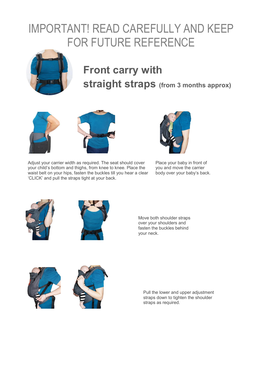

#### **Front carry with straight straps (from 3 months approx)**





Adjust your carrier width as required. The seat should cover your child's bottom and thighs, from knee to knee. Place the waist belt on your hips, fasten the buckles till you hear a clear 'CLICK' and pull the straps tight at your back.



Place your baby in front of you and move the carrier body over your baby's back.





Move both shoulder straps over your shoulders and fasten the buckles behind your neck.





Pull the lower and upper adjustment straps down to tighten the shoulder straps as required.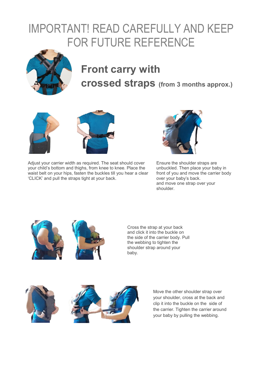

#### **Front carry with crossed straps (from 3 months approx.)**



Adjust your carrier width as required. The seat should cover your child's bottom and thighs, from knee to knee. Place the waist belt on your hips, fasten the buckles till you hear a clear 'CLICK' and pull the straps tight at your back.



Ensure the shoulder straps are unbuckled. Then place your baby in front of you and move the carrier body over your baby's back. and move one strap over your shoulder.





Cross the strap at your back and click it into the buckle on the side of the carrier body. Pull the webbing to tighten the shoulder strap around your baby.



Move the other shoulder strap over your shoulder, cross at the back and clip it into the buckle on the side of the carrier. Tighten the carrier around your baby by pulling the webbing.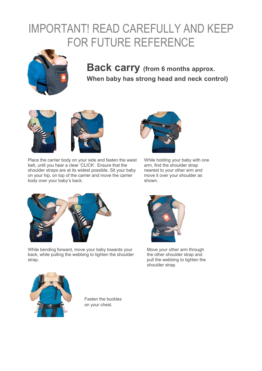

#### **Back carry (from 6 months approx. When baby has strong head and neck control)**





Place the carrier body on your side and fasten the waist belt, until you hear a clear 'CLICK'. Ensure that the shoulder straps are at its widest possible. Sit your baby on your hip, on top of the carrier and move the carrier body over your baby's back.



While holding your baby with one arm, find the shoulder strap nearest to your other arm and move it over your shoulder as shown.



While bending forward, move your baby towards your back, while pulling the webbing to tighten the shoulder strap.



Move your other arm through the other shoulder strap and pull the webbing to tighten the shoulder strap.



Fasten the buckles on your chest.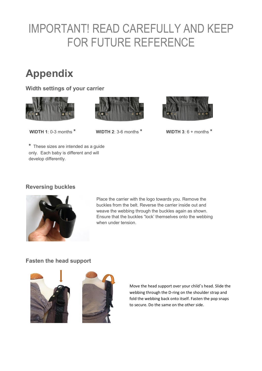#### **Appendix**

**Width settings of your carrier** 







**WIDTH 1**: 0-3 months **\* WIDTH 2**: 3-6 months **\* WIDTH 3**: 6 + months **\***

**\*** These sizes are intended as a guide only. Each baby is different and will develop differently.

#### **Reversing buckles**



Place the carrier with the logo towards you. Remove the buckles from the belt. Reverse the carrier inside out and weave the webbing through the buckles again as shown. Ensure that the buckles "lock' themselves onto the webbing when under tension.

#### **Fasten the head support**





Move the head support over your child's head. Slide the webbing through the D-ring on the shoulder strap and fold the webbing back onto itself. Fasten the pop snaps to secure. Do the same on the other side.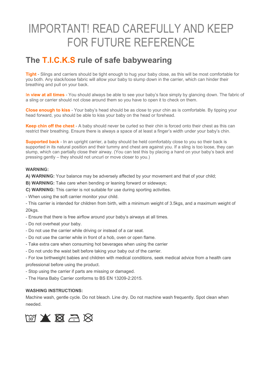#### **The T.I.C.K.S rule of safe babywearing**

**Tight** - Slings and carriers should be tight enough to hug your baby close, as this will be most comfortable for you both. Any slack/loose fabric will allow your baby to slump down in the carrier, which can hinder their breathing and pull on your back.

I**n view at all times** - You should always be able to see your baby's face simply by glancing down. The fabric of a sling or carrier should not close around them so you have to open it to check on them.

**Close enough to kiss** - Your baby's head should be as close to your chin as is comfortable. By tipping your head forward, you should be able to kiss your baby on the head or forehead.

**Keep chin off the chest** - A baby should never be curled so their chin is forced onto their chest as this can restrict their breathing. Ensure there is always a space of at least a finger's width under your baby's chin.

**Supported back** - In an upright carrier, a baby should be held comfortably close to you so their back is supported in its natural position and their tummy and chest are against you. If a sling is too loose, they can slump, which can partially close their airway. (You can test this by placing a hand on your baby's back and pressing gently – they should not uncurl or move closer to you.)

#### **WARNING:**

**A) WARNING:** Your balance may be adversely affected by your movement and that of your child;

**B) WARNING:** Take care when bending or leaning forward or sideways;

**C) WARNING:** This carrier is not suitable for use during sporting activities.

- When using the soft carrier monitor your child.

- This carrier is intended for children from birth, with a minimum weight of 3.5kgs, and a maximum weight of 20kgs.

- Ensure that there is free airflow around your baby's airways at all times.
- Do not overheat your baby.
- Do not use the carrier while driving or instead of a car seat.
- Do not use the carrier while in front of a hob, oven or open flame.
- Take extra care when consuming hot beverages when using the carrier
- Do not undo the waist belt before taking your baby out of the carrier.
- For low birthweight babies and children with medical conditions, seek medical advice from a health care professional before using the product.
- Stop using the carrier if parts are missing or damaged.

- The Hana Baby Carrier conforms to BS EN 13209-2:2015.

#### **WASHING INSTRUCTIONS:**

Machine wash, gentle cycle. Do not bleach. Line dry. Do not machine wash frequently. Spot clean when needed.